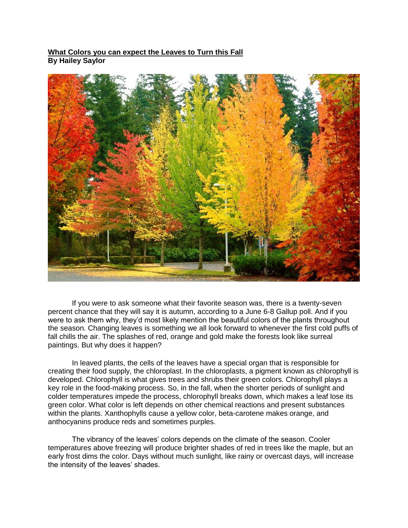## **What Colors you can expect the Leaves to Turn this Fall By Hailey Saylor**



If you were to ask someone what their favorite season was, there is a twenty-seven percent chance that they will say it is autumn, according to a June 6-8 Gallup poll. And if you were to ask them why, they'd most likely mention the beautiful colors of the plants throughout the season. Changing leaves is something we all look forward to whenever the first cold puffs of fall chills the air. The splashes of red, orange and gold make the forests look like surreal paintings. But why does it happen?

In leaved plants, the cells of the leaves have a special organ that is responsible for creating their food supply, the chloroplast. In the chloroplasts, a pigment known as chlorophyll is developed. Chlorophyll is what gives trees and shrubs their green colors. Chlorophyll plays a key role in the food-making process. So, in the fall, when the shorter periods of sunlight and colder temperatures impede the process, chlorophyll breaks down, which makes a leaf lose its green color. What color is left depends on other chemical reactions and present substances within the plants. Xanthophylls cause a yellow color, beta-carotene makes orange, and anthocyanins produce reds and sometimes purples.

The vibrancy of the leaves' colors depends on the climate of the season. Cooler temperatures above freezing will produce brighter shades of red in trees like the maple, but an early frost dims the color. Days without much sunlight, like rainy or overcast days, will increase the intensity of the leaves' shades.